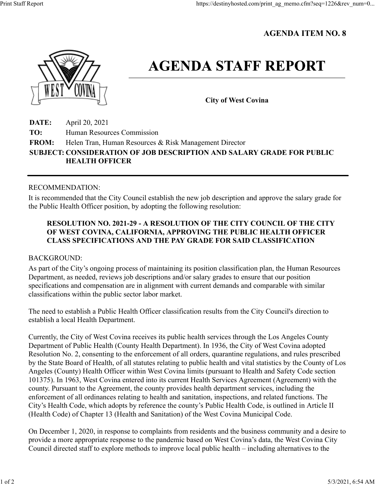# **AGENDA ITEM NO. 8**



# **AGENDA STAFF REPORT**

**City of West Covina**

**DATE:** April 20, 2021 **TO:** Human Resources Commission **FROM:** Helen Tran, Human Resources & Risk Management Director **SUBJECT: CONSIDERATION OF JOB DESCRIPTION AND SALARY GRADE FOR PUBLIC HEALTH OFFICER**

#### RECOMMENDATION:

It is recommended that the City Council establish the new job description and approve the salary grade for the Public Health Officer position, by adopting the following resolution:

## **RESOLUTION NO. 2021-29 - A RESOLUTION OF THE CITY COUNCIL OF THE CITY OF WEST COVINA, CALIFORNIA, APPROVING THE PUBLIC HEALTH OFFICER CLASS SPECIFICATIONS AND THE PAY GRADE FOR SAID CLASSIFICATION**

### BACKGROUND:

As part of the City's ongoing process of maintaining its position classification plan, the Human Resources Department, as needed, reviews job descriptions and/or salary grades to ensure that our position specifications and compensation are in alignment with current demands and comparable with similar classifications within the public sector labor market.

The need to establish a Public Health Officer classification results from the City Council's direction to establish a local Health Department.

Currently, the City of West Covina receives its public health services through the Los Angeles County Department of Public Health (County Health Department). In 1936, the City of West Covina adopted Resolution No. 2, consenting to the enforcement of all orders, quarantine regulations, and rules prescribed by the State Board of Health, of all statutes relating to public health and vital statistics by the County of Los Angeles (County) Health Officer within West Covina limits (pursuant to Health and Safety Code section 101375). In 1963, West Covina entered into its current Health Services Agreement (Agreement) with the county. Pursuant to the Agreement, the county provides health department services, including the enforcement of all ordinances relating to health and sanitation, inspections, and related functions. The City's Health Code, which adopts by reference the county's Public Health Code, is outlined in Article II (Health Code) of Chapter 13 (Health and Sanitation) of the West Covina Municipal Code.

On December 1, 2020, in response to complaints from residents and the business community and a desire to provide a more appropriate response to the pandemic based on West Covina's data, the West Covina City Council directed staff to explore methods to improve local public health – including alternatives to the